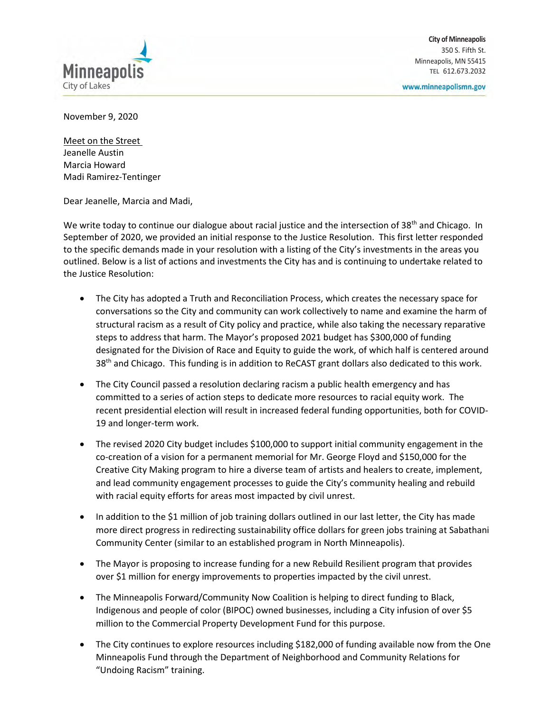

www.minneapolismn.gov

November 9, 2020

Meet on the Street Jeanelle Austin Marcia Howard Madi Ramirez-Tentinger

Dear Jeanelle, Marcia and Madi,

We write today to continue our dialogue about racial justice and the intersection of 38<sup>th</sup> and Chicago. In September of 2020, we provided an initial response to the Justice Resolution. This first letter responded to the specific demands made in your resolution with a listing of the City's investments in the areas you outlined. Below is a list of actions and investments the City has and is continuing to undertake related to the Justice Resolution:

- The City has adopted a Truth and Reconciliation Process, which creates the necessary space for conversations so the City and community can work collectively to name and examine the harm of structural racism as a result of City policy and practice, while also taking the necessary reparative steps to address that harm. The Mayor's proposed 2021 budget has \$300,000 of funding designated for the Division of Race and Equity to guide the work, of which half is centered around 38<sup>th</sup> and Chicago. This funding is in addition to ReCAST grant dollars also dedicated to this work.
- The City Council passed a resolution declaring racism a public health emergency and has committed to a series of action steps to dedicate more resources to racial equity work. The recent presidential election will result in increased federal funding opportunities, both for COVID-19 and longer-term work.
- The revised 2020 City budget includes \$100,000 to support initial community engagement in the co-creation of a vision for a permanent memorial for Mr. George Floyd and \$150,000 for the Creative City Making program to hire a diverse team of artists and healers to create, implement, and lead community engagement processes to guide the City's community healing and rebuild with racial equity efforts for areas most impacted by civil unrest.
- In addition to the \$1 million of job training dollars outlined in our last letter, the City has made more direct progress in redirecting sustainability office dollars for green jobs training at Sabathani Community Center (similar to an established program in North Minneapolis).
- The Mayor is proposing to increase funding for a new Rebuild Resilient program that provides over \$1 million for energy improvements to properties impacted by the civil unrest.
- The Minneapolis Forward/Community Now Coalition is helping to direct funding to Black, Indigenous and people of color (BIPOC) owned businesses, including a City infusion of over \$5 million to the Commercial Property Development Fund for this purpose.
- The City continues to explore resources including \$182,000 of funding available now from the One Minneapolis Fund through the Department of Neighborhood and Community Relations for "Undoing Racism" training.